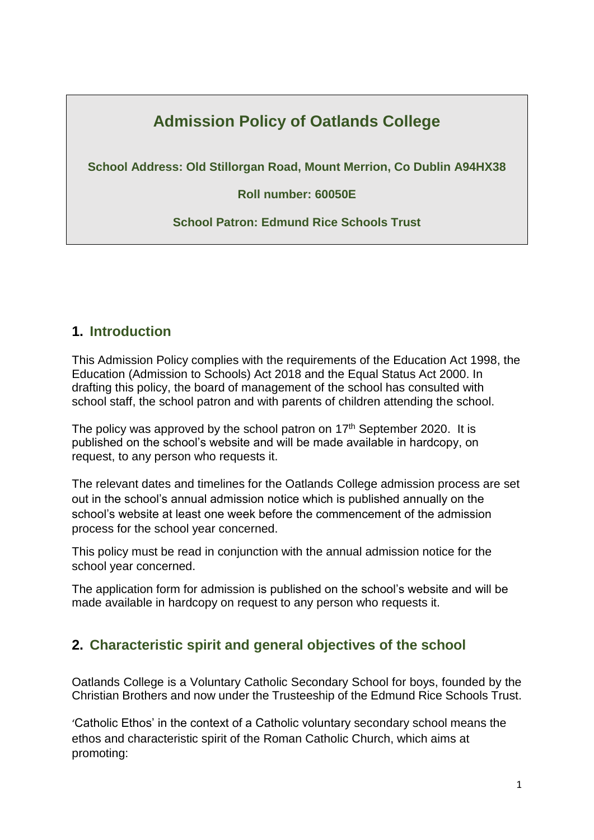# **Admission Policy of Oatlands College**

**School Address: Old Stillorgan Road, Mount Merrion, Co Dublin A94HX38**

**Roll number: 60050E**

**School Patron: Edmund Rice Schools Trust**

#### **1. Introduction**

This Admission Policy complies with the requirements of the Education Act 1998, the Education (Admission to Schools) Act 2018 and the Equal Status Act 2000. In drafting this policy, the board of management of the school has consulted with school staff, the school patron and with parents of children attending the school.

The policy was approved by the school patron on  $17<sup>th</sup>$  September 2020. It is published on the school's website and will be made available in hardcopy, on request, to any person who requests it.

The relevant dates and timelines for the Oatlands College admission process are set out in the school's annual admission notice which is published annually on the school's website at least one week before the commencement of the admission process for the school year concerned.

This policy must be read in conjunction with the annual admission notice for the school year concerned.

The application form for admission is published on the school's website and will be made available in hardcopy on request to any person who requests it.

#### **2. Characteristic spirit and general objectives of the school**

Oatlands College is a Voluntary Catholic Secondary School for boys, founded by the Christian Brothers and now under the Trusteeship of the Edmund Rice Schools Trust.

'Catholic Ethos' in the context of a Catholic voluntary secondary school means the ethos and characteristic spirit of the Roman Catholic Church, which aims at promoting: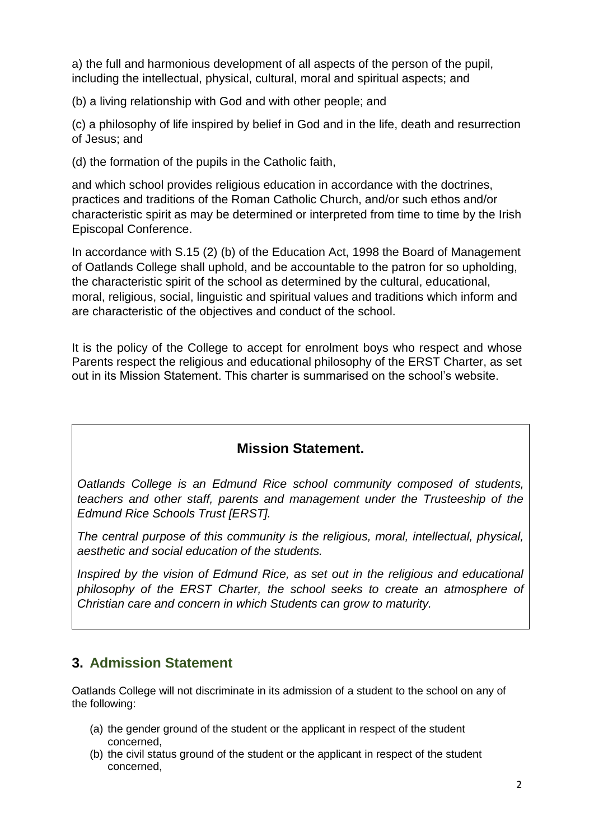a) the full and harmonious development of all aspects of the person of the pupil, including the intellectual, physical, cultural, moral and spiritual aspects; and

(b) a living relationship with God and with other people; and

(c) a philosophy of life inspired by belief in God and in the life, death and resurrection of Jesus; and

(d) the formation of the pupils in the Catholic faith,

and which school provides religious education in accordance with the doctrines, practices and traditions of the Roman Catholic Church, and/or such ethos and/or characteristic spirit as may be determined or interpreted from time to time by the Irish Episcopal Conference.

In accordance with S.15 (2) (b) of the Education Act, 1998 the Board of Management of Oatlands College shall uphold, and be accountable to the patron for so upholding, the characteristic spirit of the school as determined by the cultural, educational, moral, religious, social, linguistic and spiritual values and traditions which inform and are characteristic of the objectives and conduct of the school.

It is the policy of the College to accept for enrolment boys who respect and whose Parents respect the religious and educational philosophy of the ERST Charter, as set out in its Mission Statement. This charter is summarised on the school's website.

#### **Mission Statement.**

*Oatlands College is an Edmund Rice school community composed of students, teachers and other staff, parents and management under the Trusteeship of the Edmund Rice Schools Trust [ERST].*

*The central purpose of this community is the religious, moral, intellectual, physical, aesthetic and social education of the students.*

*Inspired by the vision of Edmund Rice, as set out in the religious and educational philosophy of the ERST Charter, the school seeks to create an atmosphere of Christian care and concern in which Students can grow to maturity.*

#### **3. Admission Statement**

Oatlands College will not discriminate in its admission of a student to the school on any of the following:

- (a) the gender ground of the student or the applicant in respect of the student concerned,
- (b) the civil status ground of the student or the applicant in respect of the student concerned,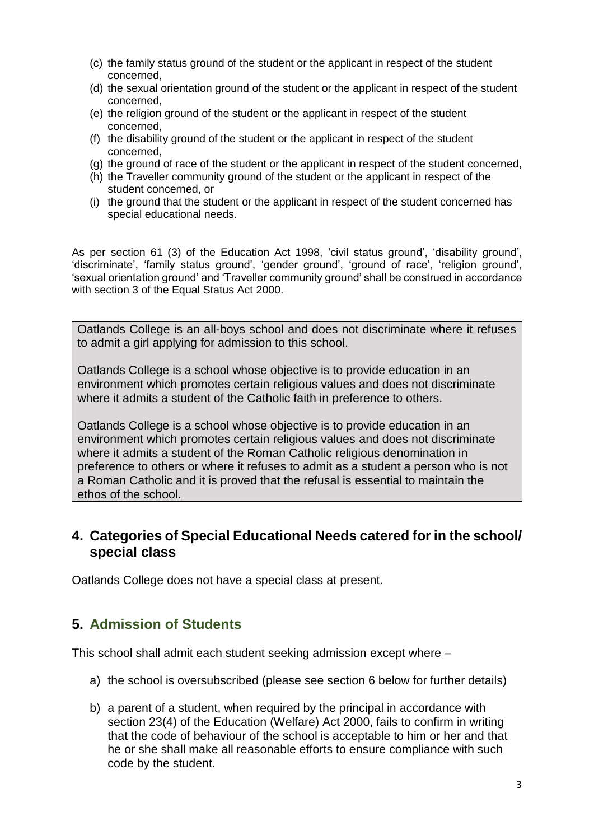- (c) the family status ground of the student or the applicant in respect of the student concerned,
- (d) the sexual orientation ground of the student or the applicant in respect of the student concerned,
- (e) the religion ground of the student or the applicant in respect of the student concerned,
- (f) the disability ground of the student or the applicant in respect of the student concerned,
- (g) the ground of race of the student or the applicant in respect of the student concerned,
- (h) the Traveller community ground of the student or the applicant in respect of the student concerned, or
- (i) the ground that the student or the applicant in respect of the student concerned has special educational needs.

As per section 61 (3) of the Education Act 1998, 'civil status ground', 'disability ground', 'discriminate', 'family status ground', 'gender ground', 'ground of race', 'religion ground', 'sexual orientation ground' and 'Traveller community ground' shall be construed in accordance with section 3 of the Equal Status Act 2000.

Oatlands College is an all-boys school and does not discriminate where it refuses to admit a girl applying for admission to this school.

Oatlands College is a school whose objective is to provide education in an environment which promotes certain religious values and does not discriminate where it admits a student of the Catholic faith in preference to others.

Oatlands College is a school whose objective is to provide education in an environment which promotes certain religious values and does not discriminate where it admits a student of the Roman Catholic religious denomination in preference to others or where it refuses to admit as a student a person who is not a Roman Catholic and it is proved that the refusal is essential to maintain the ethos of the school.

#### **4. Categories of Special Educational Needs catered for in the school/ special class**

Oatlands College does not have a special class at present.

#### **5. Admission of Students**

This school shall admit each student seeking admission except where –

- a) the school is oversubscribed (please see section 6 below for further details)
- b) a parent of a student, when required by the principal in accordance with section 23(4) of the Education (Welfare) Act 2000, fails to confirm in writing that the code of behaviour of the school is acceptable to him or her and that he or she shall make all reasonable efforts to ensure compliance with such code by the student.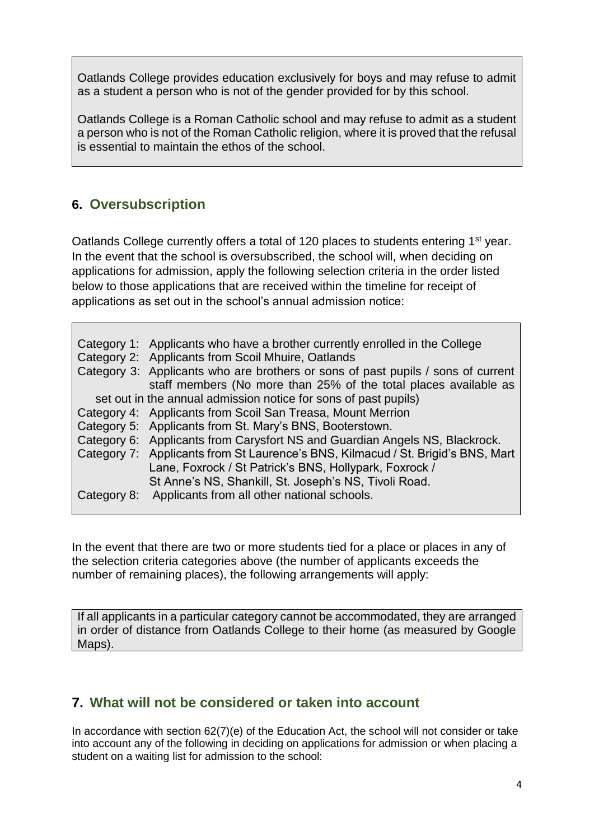Oatlands College provides education exclusively for boys and may refuse to admit as a student a person who is not of the gender provided for by this school.

Oatlands College is a Roman Catholic school and may refuse to admit as a student a person who is not of the Roman Catholic religion, where it is proved that the refusal is essential to maintain the ethos of the school.

### **6. Oversubscription**

Oatlands College currently offers a total of 120 places to students entering 1<sup>st</sup> year. In the event that the school is oversubscribed, the school will, when deciding on applications for admission, apply the following selection criteria in the order listed below to those applications that are received within the timeline for receipt of applications as set out in the school's annual admission notice:

| Category 1: Applicants who have a brother currently enrolled in the College      |
|----------------------------------------------------------------------------------|
| Category 2: Applicants from Scoil Mhuire, Oatlands                               |
| Category 3: Applicants who are brothers or sons of past pupils / sons of current |
| staff members (No more than 25% of the total places available as                 |
| set out in the annual admission notice for sons of past pupils)                  |
| Category 4: Applicants from Scoil San Treasa, Mount Merrion                      |
| Category 5: Applicants from St. Mary's BNS, Booterstown.                         |
| Category 6: Applicants from Carysfort NS and Guardian Angels NS, Blackrock.      |
| Category 7: Applicants from St Laurence's BNS, Kilmacud / St. Brigid's BNS, Mart |
| Lane, Foxrock / St Patrick's BNS, Hollypark, Foxrock /                           |
| St Anne's NS, Shankill, St. Joseph's NS, Tivoli Road.                            |
| Category 8: Applicants from all other national schools.                          |

In the event that there are two or more students tied for a place or places in any of the selection criteria categories above (the number of applicants exceeds the number of remaining places), the following arrangements will apply:

If all applicants in a particular category cannot be accommodated, they are arranged in order of distance from Oatlands College to their home (as measured by Google Maps).

#### **7. What will not be considered or taken into account**

In accordance with section 62(7)(e) of the Education Act, the school will not consider or take into account any of the following in deciding on applications for admission or when placing a student on a waiting list for admission to the school: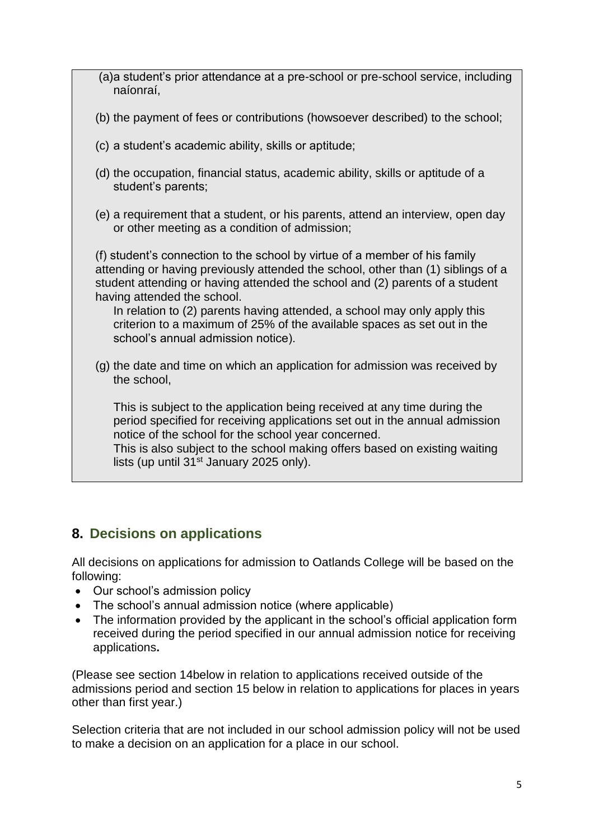(a)a student's prior attendance at a pre-school or pre-school service, including naíonraí, (b) the payment of fees or contributions (howsoever described) to the school; (c) a student's academic ability, skills or aptitude; (d) the occupation, financial status, academic ability, skills or aptitude of a student's parents; (e) a requirement that a student, or his parents, attend an interview, open day or other meeting as a condition of admission; (f) student's connection to the school by virtue of a member of his family attending or having previously attended the school, other than (1) siblings of a student attending or having attended the school and (2) parents of a student having attended the school. In relation to (2) parents having attended, a school may only apply this criterion to a maximum of 25% of the available spaces as set out in the school's annual admission notice). (g) the date and time on which an application for admission was received by the school, This is subject to the application being received at any time during the period specified for receiving applications set out in the annual admission notice of the school for the school year concerned. This is also subject to the school making offers based on existing waiting lists (up until 31<sup>st</sup> January 2025 only).

# **8. Decisions on applications**

All decisions on applications for admission to Oatlands College will be based on the following:

- Our school's admission policy
- The school's annual admission notice (where applicable)
- The information provided by the applicant in the school's official application form received during the period specified in our annual admission notice for receiving applications**.**

(Please see section 14below in relation to applications received outside of the admissions period and section 15 below in relation to applications for places in years other than first year.)

Selection criteria that are not included in our school admission policy will not be used to make a decision on an application for a place in our school.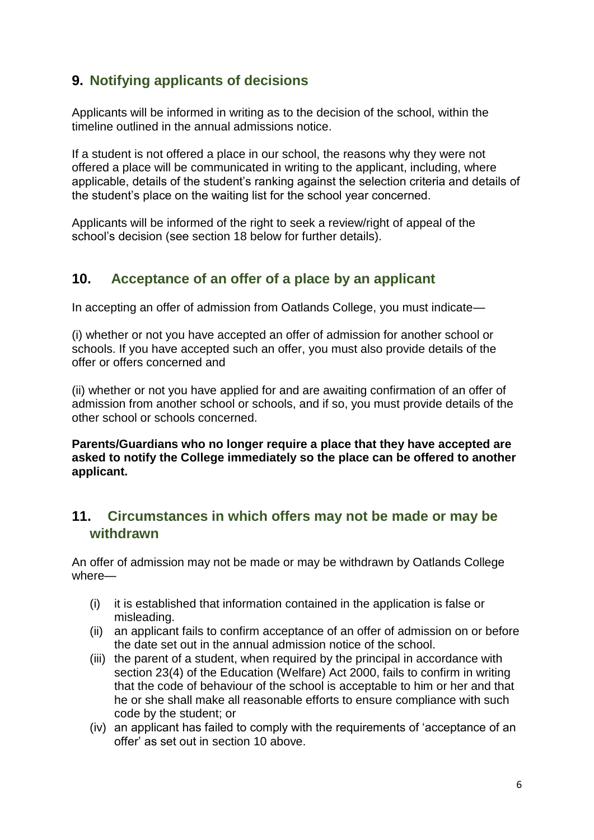## **9. Notifying applicants of decisions**

Applicants will be informed in writing as to the decision of the school, within the timeline outlined in the annual admissions notice.

If a student is not offered a place in our school, the reasons why they were not offered a place will be communicated in writing to the applicant, including, where applicable, details of the student's ranking against the selection criteria and details of the student's place on the waiting list for the school year concerned.

Applicants will be informed of the right to seek a review/right of appeal of the school's decision (see [section 18](#page-9-0) below for further details).

#### <span id="page-5-0"></span>**10. Acceptance of an offer of a place by an applicant**

In accepting an offer of admission from Oatlands College, you must indicate—

(i) whether or not you have accepted an offer of admission for another school or schools. If you have accepted such an offer, you must also provide details of the offer or offers concerned and

(ii) whether or not you have applied for and are awaiting confirmation of an offer of admission from another school or schools, and if so, you must provide details of the other school or schools concerned.

**Parents/Guardians who no longer require a place that they have accepted are asked to notify the College immediately so the place can be offered to another applicant.**

### **11. Circumstances in which offers may not be made or may be withdrawn**

An offer of admission may not be made or may be withdrawn by Oatlands College where—

- (i) it is established that information contained in the application is false or misleading.
- (ii) an applicant fails to confirm acceptance of an offer of admission on or before the date set out in the annual admission notice of the school.
- (iii) the parent of a student, when required by the principal in accordance with section 23(4) of the Education (Welfare) Act 2000, fails to confirm in writing that the code of behaviour of the school is acceptable to him or her and that he or she shall make all reasonable efforts to ensure compliance with such code by the student; or
- (iv) an applicant has failed to comply with the requirements of 'acceptance of an offer' as set out in [section 1](#page-5-0)0 above.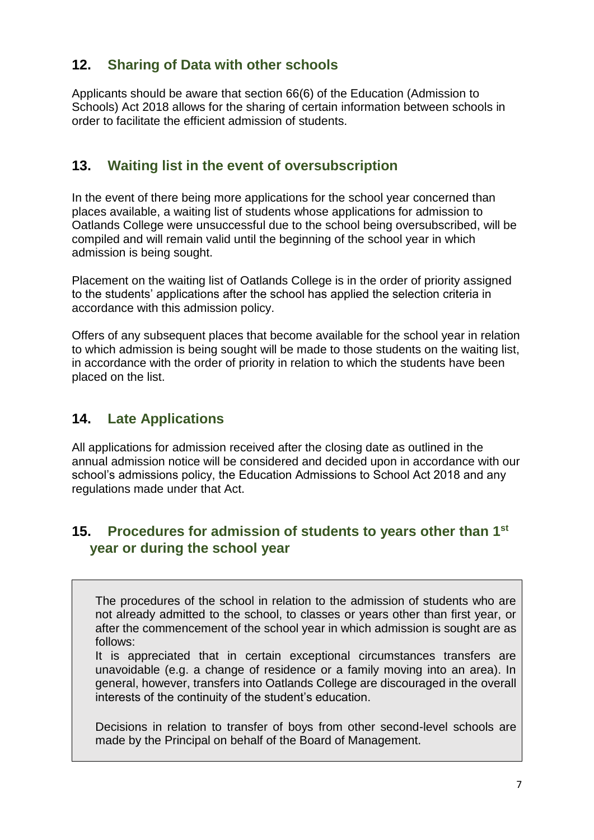### **12. Sharing of Data with other schools**

Applicants should be aware that section 66(6) of the Education (Admission to Schools) Act 2018 allows for the sharing of certain information between schools in order to facilitate the efficient admission of students.

#### **13. Waiting list in the event of oversubscription**

In the event of there being more applications for the school year concerned than places available, a waiting list of students whose applications for admission to Oatlands College were unsuccessful due to the school being oversubscribed, will be compiled and will remain valid until the beginning of the school year in which admission is being sought.

Placement on the waiting list of Oatlands College is in the order of priority assigned to the students' applications after the school has applied the selection criteria in accordance with this admission policy.

Offers of any subsequent places that become available for the school year in relation to which admission is being sought will be made to those students on the waiting list, in accordance with the order of priority in relation to which the students have been placed on the list.

### **14. Late Applications**

All applications for admission received after the closing date as outlined in the annual admission notice will be considered and decided upon in accordance with our school's admissions policy, the Education Admissions to School Act 2018 and any regulations made under that Act.

### **15. Procedures for admission of students to years other than 1st year or during the school year**

The procedures of the school in relation to the admission of students who are not already admitted to the school, to classes or years other than first year, or after the commencement of the school year in which admission is sought are as follows:

It is appreciated that in certain exceptional circumstances transfers are unavoidable (e.g. a change of residence or a family moving into an area). In general, however, transfers into Oatlands College are discouraged in the overall interests of the continuity of the student's education.

Decisions in relation to transfer of boys from other second-level schools are made by the Principal on behalf of the Board of Management.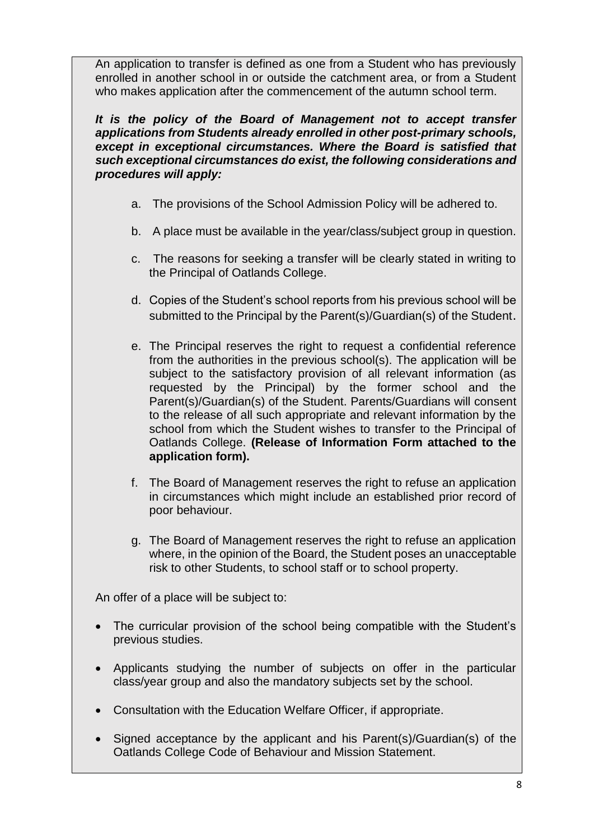An application to transfer is defined as one from a Student who has previously enrolled in another school in or outside the catchment area, or from a Student who makes application after the commencement of the autumn school term.

*It is the policy of the Board of Management not to accept transfer applications from Students already enrolled in other post-primary schools, except in exceptional circumstances. Where the Board is satisfied that such exceptional circumstances do exist, the following considerations and procedures will apply:*

- a. The provisions of the School Admission Policy will be adhered to.
- b. A place must be available in the year/class/subject group in question.
- c. The reasons for seeking a transfer will be clearly stated in writing to the Principal of Oatlands College.
- d. Copies of the Student's school reports from his previous school will be submitted to the Principal by the Parent(s)/Guardian(s) of the Student.
- e. The Principal reserves the right to request a confidential reference from the authorities in the previous school(s). The application will be subject to the satisfactory provision of all relevant information (as requested by the Principal) by the former school and the Parent(s)/Guardian(s) of the Student. Parents/Guardians will consent to the release of all such appropriate and relevant information by the school from which the Student wishes to transfer to the Principal of Oatlands College. **(Release of Information Form attached to the application form).**
- f. The Board of Management reserves the right to refuse an application in circumstances which might include an established prior record of poor behaviour.
- g. The Board of Management reserves the right to refuse an application where, in the opinion of the Board, the Student poses an unacceptable risk to other Students, to school staff or to school property.

An offer of a place will be subject to:

- The curricular provision of the school being compatible with the Student's previous studies.
- Applicants studying the number of subjects on offer in the particular class/year group and also the mandatory subjects set by the school.
- Consultation with the Education Welfare Officer, if appropriate.
- Signed acceptance by the applicant and his Parent(s)/Guardian(s) of the Oatlands College Code of Behaviour and Mission Statement.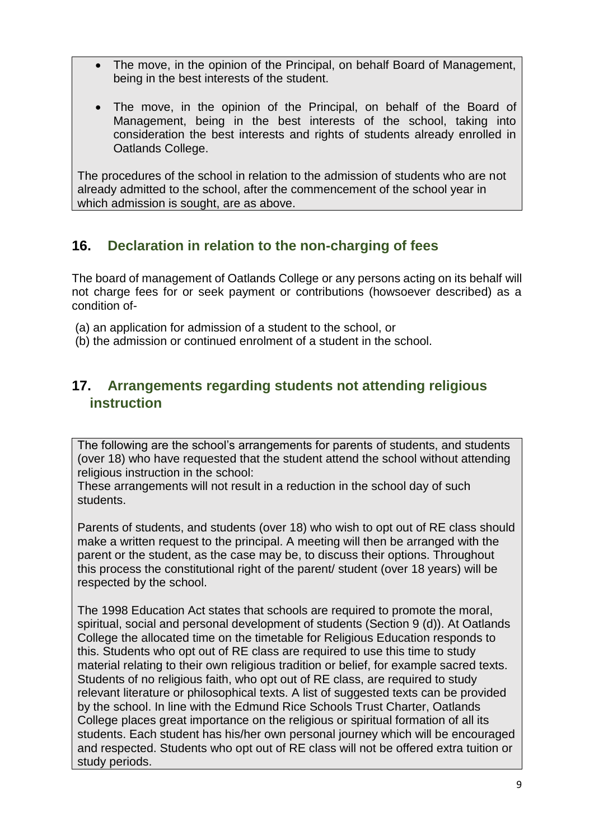- The move, in the opinion of the Principal, on behalf Board of Management, being in the best interests of the student.
- The move, in the opinion of the Principal, on behalf of the Board of Management, being in the best interests of the school, taking into consideration the best interests and rights of students already enrolled in Oatlands College.

The procedures of the school in relation to the admission of students who are not already admitted to the school, after the commencement of the school year in which admission is sought, are as above.

### **16. Declaration in relation to the non-charging of fees**

The board of management of Oatlands College or any persons acting on its behalf will not charge fees for or seek payment or contributions (howsoever described) as a condition of-

- (a) an application for admission of a student to the school, or
- (b) the admission or continued enrolment of a student in the school.

#### **17. Arrangements regarding students not attending religious instruction**

The following are the school's arrangements for parents of students, and students (over 18) who have requested that the student attend the school without attending religious instruction in the school:

These arrangements will not result in a reduction in the school day of such students.

Parents of students, and students (over 18) who wish to opt out of RE class should make a written request to the principal. A meeting will then be arranged with the parent or the student, as the case may be, to discuss their options. Throughout this process the constitutional right of the parent/ student (over 18 years) will be respected by the school.

The 1998 Education Act states that schools are required to promote the moral, spiritual, social and personal development of students (Section 9 (d)). At Oatlands College the allocated time on the timetable for Religious Education responds to this. Students who opt out of RE class are required to use this time to study material relating to their own religious tradition or belief, for example sacred texts. Students of no religious faith, who opt out of RE class, are required to study relevant literature or philosophical texts. A list of suggested texts can be provided by the school. In line with the Edmund Rice Schools Trust Charter, Oatlands College places great importance on the religious or spiritual formation of all its students. Each student has his/her own personal journey which will be encouraged and respected. Students who opt out of RE class will not be offered extra tuition or study periods.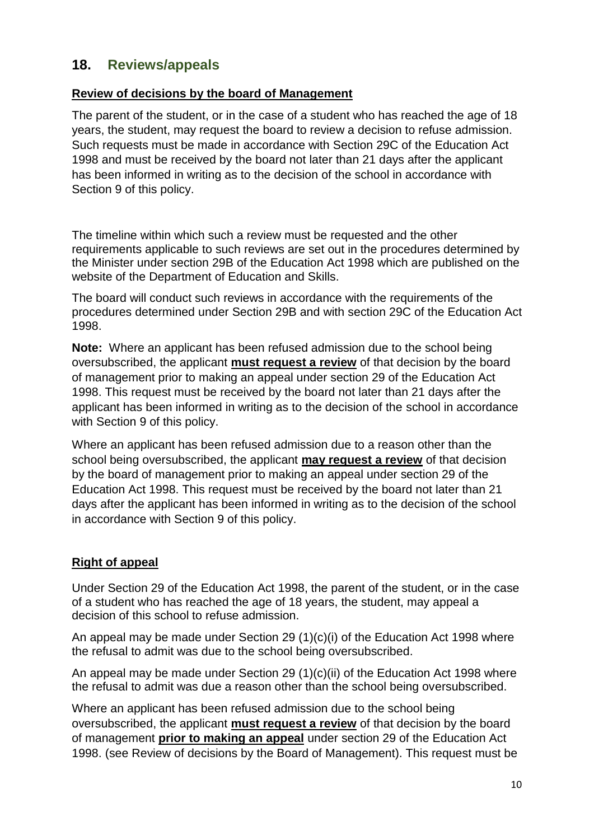#### <span id="page-9-0"></span>**18. Reviews/appeals**

#### **Review of decisions by the board of Management**

The parent of the student, or in the case of a student who has reached the age of 18 years, the student, may request the board to review a decision to refuse admission. Such requests must be made in accordance with Section 29C of the Education Act 1998 and must be received by the board not later than 21 days after the applicant has been informed in writing as to the decision of the school in accordance with Section 9 of this policy.

The timeline within which such a review must be requested and the other requirements applicable to such reviews are set out in the procedures determined by the Minister under section 29B of the Education Act 1998 which are published on the website of the Department of Education and Skills.

The board will conduct such reviews in accordance with the requirements of the procedures determined under Section 29B and with section 29C of the Education Act 1998.

**Note:** Where an applicant has been refused admission due to the school being oversubscribed, the applicant **must request a review** of that decision by the board of management prior to making an appeal under section 29 of the Education Act 1998. This request must be received by the board not later than 21 days after the applicant has been informed in writing as to the decision of the school in accordance with Section 9 of this policy.

Where an applicant has been refused admission due to a reason other than the school being oversubscribed, the applicant **may request a review** of that decision by the board of management prior to making an appeal under section 29 of the Education Act 1998. This request must be received by the board not later than 21 days after the applicant has been informed in writing as to the decision of the school in accordance with Section 9 of this policy.

#### **Right of appeal**

Under Section 29 of the Education Act 1998, the parent of the student, or in the case of a student who has reached the age of 18 years, the student, may appeal a decision of this school to refuse admission.

An appeal may be made under Section 29 (1)(c)(i) of the Education Act 1998 where the refusal to admit was due to the school being oversubscribed.

An appeal may be made under Section 29 (1)(c)(ii) of the Education Act 1998 where the refusal to admit was due a reason other than the school being oversubscribed.

Where an applicant has been refused admission due to the school being oversubscribed, the applicant **must request a review** of that decision by the board of management **prior to making an appeal** under section 29 of the Education Act 1998. (see Review of decisions by the Board of Management). This request must be